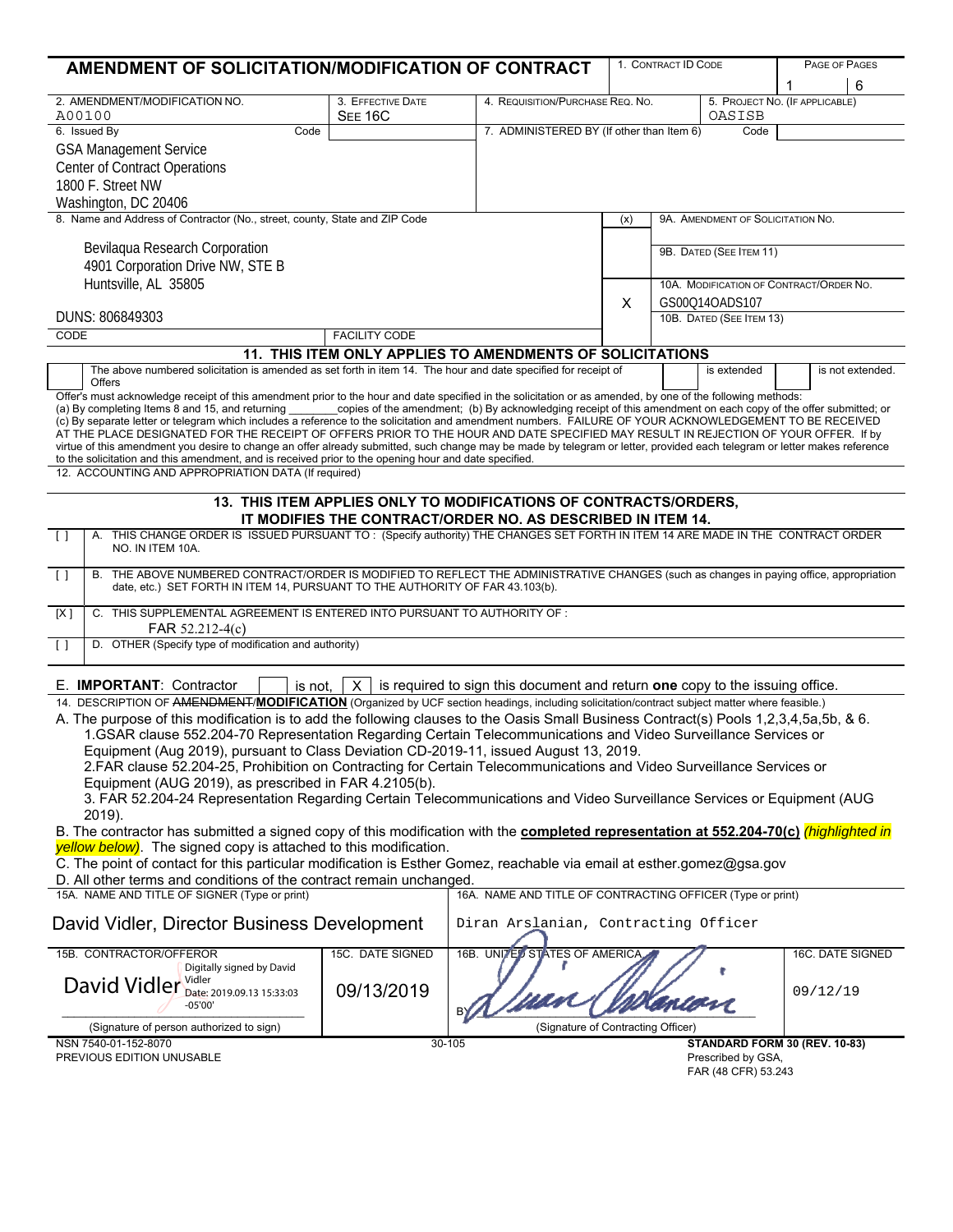| AMENDMENT OF SOLICITATION/MODIFICATION OF CONTRACT                                                                                                                                                                                                                                             |                      |                                                            |                                                   | 1. CONTRACT ID CODE                     |                                           |          | PAGE OF PAGES    |  |
|------------------------------------------------------------------------------------------------------------------------------------------------------------------------------------------------------------------------------------------------------------------------------------------------|----------------------|------------------------------------------------------------|---------------------------------------------------|-----------------------------------------|-------------------------------------------|----------|------------------|--|
|                                                                                                                                                                                                                                                                                                |                      |                                                            |                                                   |                                         |                                           | 1        | 6                |  |
| 2. AMENDMENT/MODIFICATION NO.                                                                                                                                                                                                                                                                  | 3. EFFECTIVE DATE    | 4. REQUISITION/PURCHASE REQ. NO.                           |                                                   |                                         | 5. PROJECT NO. (IF APPLICABLE)            |          |                  |  |
| A00100                                                                                                                                                                                                                                                                                         | <b>SEE 16C</b>       |                                                            |                                                   |                                         |                                           | OASISB   |                  |  |
| 6. Issued By<br>Code                                                                                                                                                                                                                                                                           |                      |                                                            | 7. ADMINISTERED BY (If other than Item 6)<br>Code |                                         |                                           |          |                  |  |
| <b>GSA Management Service</b>                                                                                                                                                                                                                                                                  |                      |                                                            |                                                   |                                         |                                           |          |                  |  |
| <b>Center of Contract Operations</b>                                                                                                                                                                                                                                                           |                      |                                                            |                                                   |                                         |                                           |          |                  |  |
| 1800 F. Street NW                                                                                                                                                                                                                                                                              |                      |                                                            |                                                   |                                         |                                           |          |                  |  |
| Washington, DC 20406                                                                                                                                                                                                                                                                           |                      |                                                            |                                                   |                                         |                                           |          |                  |  |
| 8. Name and Address of Contractor (No., street, county, State and ZIP Code                                                                                                                                                                                                                     |                      |                                                            | (x)                                               | 9A. AMENDMENT OF SOLICITATION NO.       |                                           |          |                  |  |
|                                                                                                                                                                                                                                                                                                |                      |                                                            |                                                   |                                         |                                           |          |                  |  |
| Bevilaqua Research Corporation                                                                                                                                                                                                                                                                 |                      |                                                            |                                                   | 9B. DATED (SEE ITEM 11)                 |                                           |          |                  |  |
| 4901 Corporation Drive NW, STE B                                                                                                                                                                                                                                                               |                      |                                                            |                                                   |                                         |                                           |          |                  |  |
| Huntsville, AL 35805                                                                                                                                                                                                                                                                           |                      |                                                            |                                                   | 10A. MODIFICATION OF CONTRACT/ORDER NO. |                                           |          |                  |  |
|                                                                                                                                                                                                                                                                                                |                      |                                                            | X                                                 | GS00Q14OADS107                          |                                           |          |                  |  |
| DUNS: 806849303                                                                                                                                                                                                                                                                                |                      |                                                            |                                                   | 10B. DATED (SEE ITEM 13)                |                                           |          |                  |  |
| <b>CODE</b>                                                                                                                                                                                                                                                                                    | <b>FACILITY CODE</b> |                                                            |                                                   |                                         |                                           |          |                  |  |
| 11. THIS ITEM ONLY APPLIES TO AMENDMENTS OF SOLICITATIONS                                                                                                                                                                                                                                      |                      |                                                            |                                                   |                                         |                                           |          |                  |  |
| The above numbered solicitation is amended as set forth in item 14. The hour and date specified for receipt of                                                                                                                                                                                 |                      |                                                            |                                                   |                                         | is extended                               |          | is not extended. |  |
| <b>Offers</b>                                                                                                                                                                                                                                                                                  |                      |                                                            |                                                   |                                         |                                           |          |                  |  |
| Offer's must acknowledge receipt of this amendment prior to the hour and date specified in the solicitation or as amended, by one of the following methods:                                                                                                                                    |                      |                                                            |                                                   |                                         |                                           |          |                  |  |
| (a) By completing Items 8 and 15, and returning copies of the amendment; (b) By acknowledging receipt of this amendment on each copy of the offer submitted; or                                                                                                                                |                      |                                                            |                                                   |                                         |                                           |          |                  |  |
| (c) By separate letter or telegram which includes a reference to the solicitation and amendment numbers. FAILURE OF YOUR ACKNOWLEDGEMENT TO BE RECEIVED<br>AT THE PLACE DESIGNATED FOR THE RECEIPT OF OFFERS PRIOR TO THE HOUR AND DATE SPECIFIED MAY RESULT IN REJECTION OF YOUR OFFER. If by |                      |                                                            |                                                   |                                         |                                           |          |                  |  |
| virtue of this amendment you desire to change an offer already submitted, such change may be made by telegram or letter, provided each telegram or letter makes reference                                                                                                                      |                      |                                                            |                                                   |                                         |                                           |          |                  |  |
| to the solicitation and this amendment, and is received prior to the opening hour and date specified.                                                                                                                                                                                          |                      |                                                            |                                                   |                                         |                                           |          |                  |  |
| 12. ACCOUNTING AND APPROPRIATION DATA (If required)                                                                                                                                                                                                                                            |                      |                                                            |                                                   |                                         |                                           |          |                  |  |
| 13. THIS ITEM APPLIES ONLY TO MODIFICATIONS OF CONTRACTS/ORDERS,                                                                                                                                                                                                                               |                      |                                                            |                                                   |                                         |                                           |          |                  |  |
| IT MODIFIES THE CONTRACT/ORDER NO. AS DESCRIBED IN ITEM 14.                                                                                                                                                                                                                                    |                      |                                                            |                                                   |                                         |                                           |          |                  |  |
| A. THIS CHANGE ORDER IS ISSUED PURSUANT TO: (Specify authority) THE CHANGES SET FORTH IN ITEM 14 ARE MADE IN THE CONTRACT ORDER                                                                                                                                                                |                      |                                                            |                                                   |                                         |                                           |          |                  |  |
| $\Box$<br>NO. IN ITEM 10A.                                                                                                                                                                                                                                                                     |                      |                                                            |                                                   |                                         |                                           |          |                  |  |
|                                                                                                                                                                                                                                                                                                |                      |                                                            |                                                   |                                         |                                           |          |                  |  |
| B. THE ABOVE NUMBERED CONTRACT/ORDER IS MODIFIED TO REFLECT THE ADMINISTRATIVE CHANGES (such as changes in paying office, appropriation<br>$\Box$<br>date, etc.) SET FORTH IN ITEM 14, PURSUANT TO THE AUTHORITY OF FAR 43.103(b).                                                             |                      |                                                            |                                                   |                                         |                                           |          |                  |  |
|                                                                                                                                                                                                                                                                                                |                      |                                                            |                                                   |                                         |                                           |          |                  |  |
| C. THIS SUPPLEMENTAL AGREEMENT IS ENTERED INTO PURSUANT TO AUTHORITY OF :<br>[X]                                                                                                                                                                                                               |                      |                                                            |                                                   |                                         |                                           |          |                  |  |
| FAR 52.212-4(c)                                                                                                                                                                                                                                                                                |                      |                                                            |                                                   |                                         |                                           |          |                  |  |
| D. OTHER (Specify type of modification and authority)<br>$\Box$                                                                                                                                                                                                                                |                      |                                                            |                                                   |                                         |                                           |          |                  |  |
|                                                                                                                                                                                                                                                                                                |                      |                                                            |                                                   |                                         |                                           |          |                  |  |
| is required to sign this document and return one copy to the issuing office.<br>E. IMPORTANT: Contractor<br>is not.<br>X.                                                                                                                                                                      |                      |                                                            |                                                   |                                         |                                           |          |                  |  |
| 14. DESCRIPTION OF AMENDMENT/MODIFICATION (Organized by UCF section headings, including solicitation/contract subject matter where feasible.)                                                                                                                                                  |                      |                                                            |                                                   |                                         |                                           |          |                  |  |
| A. The purpose of this modification is to add the following clauses to the Oasis Small Business Contract(s) Pools 1,2,3,4,5a,5b, & 6.                                                                                                                                                          |                      |                                                            |                                                   |                                         |                                           |          |                  |  |
| 1.GSAR clause 552.204-70 Representation Regarding Certain Telecommunications and Video Surveillance Services or                                                                                                                                                                                |                      |                                                            |                                                   |                                         |                                           |          |                  |  |
| Equipment (Aug 2019), pursuant to Class Deviation CD-2019-11, issued August 13, 2019.                                                                                                                                                                                                          |                      |                                                            |                                                   |                                         |                                           |          |                  |  |
| 2.FAR clause 52.204-25, Prohibition on Contracting for Certain Telecommunications and Video Surveillance Services or                                                                                                                                                                           |                      |                                                            |                                                   |                                         |                                           |          |                  |  |
| Equipment (AUG 2019), as prescribed in FAR 4.2105(b).                                                                                                                                                                                                                                          |                      |                                                            |                                                   |                                         |                                           |          |                  |  |
| 3. FAR 52.204-24 Representation Regarding Certain Telecommunications and Video Surveillance Services or Equipment (AUG                                                                                                                                                                         |                      |                                                            |                                                   |                                         |                                           |          |                  |  |
| 2019).                                                                                                                                                                                                                                                                                         |                      |                                                            |                                                   |                                         |                                           |          |                  |  |
| B. The contractor has submitted a signed copy of this modification with the <b>completed representation at 552.204-70(c)</b> (highlighted in                                                                                                                                                   |                      |                                                            |                                                   |                                         |                                           |          |                  |  |
| yellow below). The signed copy is attached to this modification.                                                                                                                                                                                                                               |                      |                                                            |                                                   |                                         |                                           |          |                  |  |
| C. The point of contact for this particular modification is Esther Gomez, reachable via email at esther gomez@gsa.gov                                                                                                                                                                          |                      |                                                            |                                                   |                                         |                                           |          |                  |  |
| D. All other terms and conditions of the contract remain unchanged.                                                                                                                                                                                                                            |                      |                                                            |                                                   |                                         |                                           |          |                  |  |
| 15A. NAME AND TITLE OF SIGNER (Type or print)                                                                                                                                                                                                                                                  |                      | 16A. NAME AND TITLE OF CONTRACTING OFFICER (Type or print) |                                                   |                                         |                                           |          |                  |  |
| David Vidler, Director Business Development<br>Diran Arslanian, Contracting Officer                                                                                                                                                                                                            |                      |                                                            |                                                   |                                         |                                           |          |                  |  |
|                                                                                                                                                                                                                                                                                                |                      |                                                            |                                                   |                                         |                                           |          |                  |  |
| 15B. CONTRACTOR/OFFEROR                                                                                                                                                                                                                                                                        | 15C. DATE SIGNED     | 16B. UNITED STATES OF AMERICA                              |                                                   |                                         |                                           |          | 16C. DATE SIGNED |  |
| Digitally signed by David                                                                                                                                                                                                                                                                      |                      |                                                            |                                                   |                                         |                                           |          |                  |  |
| David Vidler Date: 2019.09.13 15:33:03                                                                                                                                                                                                                                                         | 09/13/2019           |                                                            |                                                   |                                         |                                           |          |                  |  |
| $-05'00'$                                                                                                                                                                                                                                                                                      |                      |                                                            |                                                   |                                         |                                           | 09/12/19 |                  |  |
|                                                                                                                                                                                                                                                                                                |                      |                                                            |                                                   |                                         |                                           |          |                  |  |
| (Signature of person authorized to sign)                                                                                                                                                                                                                                                       |                      | (Signature of Contracting Officer)                         |                                                   |                                         |                                           |          |                  |  |
| NSN 7540-01-152-8070                                                                                                                                                                                                                                                                           |                      | 30-105                                                     |                                                   |                                         | STANDARD FORM 30 (REV. 10-83)             |          |                  |  |
| PREVIOUS EDITION UNUSABLE                                                                                                                                                                                                                                                                      |                      |                                                            |                                                   |                                         | Prescribed by GSA,<br>FAR (48 CFR) 53.243 |          |                  |  |
|                                                                                                                                                                                                                                                                                                |                      |                                                            |                                                   |                                         |                                           |          |                  |  |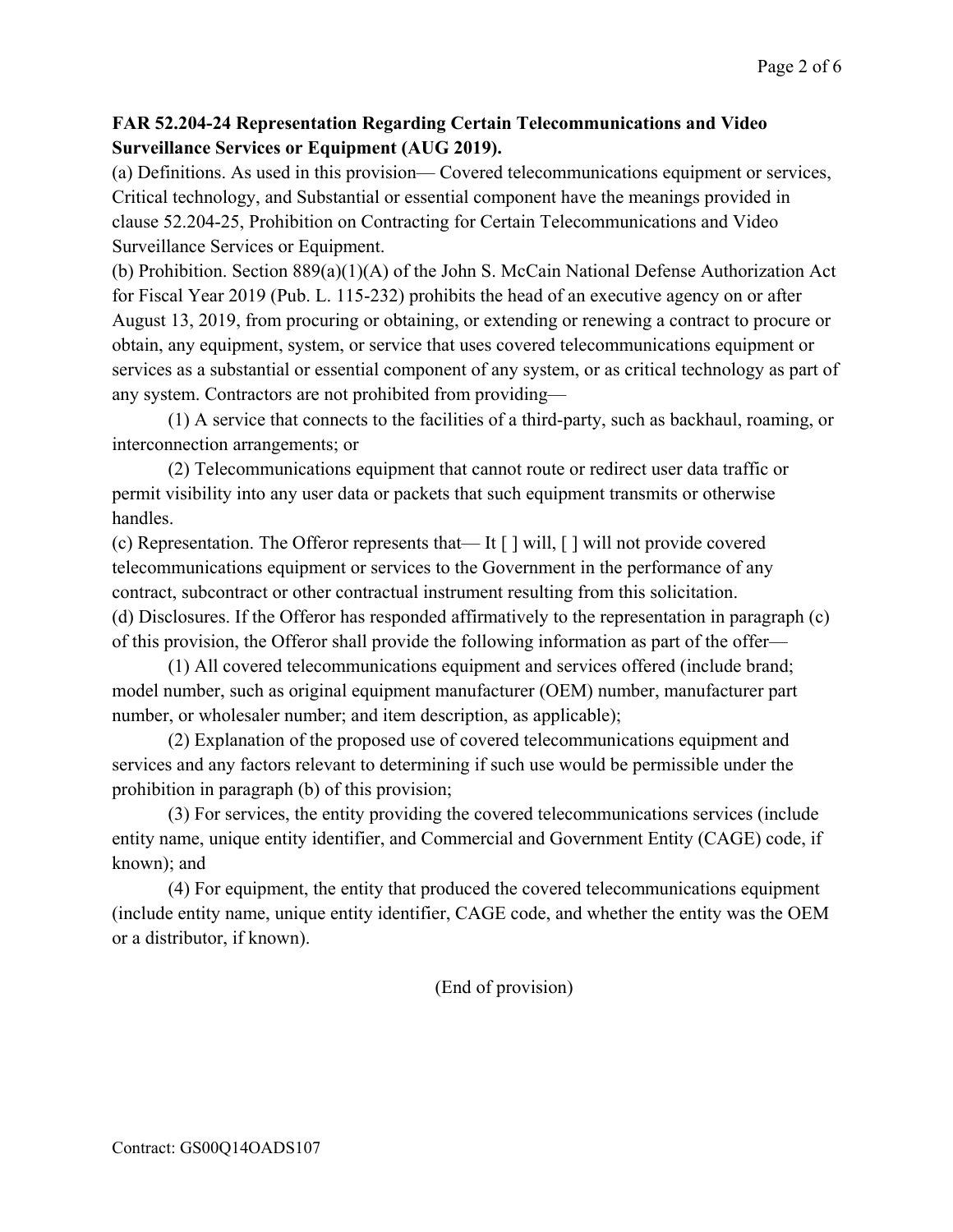## **FAR 52.204-24 Representation Regarding Certain Telecommunications and Video Surveillance Services or Equipment (AUG 2019).**

(a) Definitions. As used in this provision— Covered telecommunications equipment or services, Critical technology, and Substantial or essential component have the meanings provided in clause 52.204-25, Prohibition on Contracting for Certain Telecommunications and Video Surveillance Services or Equipment.

(b) Prohibition. Section 889(a)(1)(A) of the John S. McCain National Defense Authorization Act for Fiscal Year 2019 (Pub. L. 115-232) prohibits the head of an executive agency on or after August 13, 2019, from procuring or obtaining, or extending or renewing a contract to procure or obtain, any equipment, system, or service that uses covered telecommunications equipment or services as a substantial or essential component of any system, or as critical technology as part of any system. Contractors are not prohibited from providing—

(1) A service that connects to the facilities of a third-party, such as backhaul, roaming, or interconnection arrangements; or

(2) Telecommunications equipment that cannot route or redirect user data traffic or permit visibility into any user data or packets that such equipment transmits or otherwise handles.

(c) Representation. The Offeror represents that— It [ ] will, [ ] will not provide covered telecommunications equipment or services to the Government in the performance of any contract, subcontract or other contractual instrument resulting from this solicitation. (d) Disclosures. If the Offeror has responded affirmatively to the representation in paragraph (c) of this provision, the Offeror shall provide the following information as part of the offer—

(1) All covered telecommunications equipment and services offered (include brand; model number, such as original equipment manufacturer (OEM) number, manufacturer part number, or wholesaler number; and item description, as applicable);

(2) Explanation of the proposed use of covered telecommunications equipment and services and any factors relevant to determining if such use would be permissible under the prohibition in paragraph (b) of this provision;

(3) For services, the entity providing the covered telecommunications services (include entity name, unique entity identifier, and Commercial and Government Entity (CAGE) code, if known); and

(4) For equipment, the entity that produced the covered telecommunications equipment (include entity name, unique entity identifier, CAGE code, and whether the entity was the OEM or a distributor, if known).

(End of provision)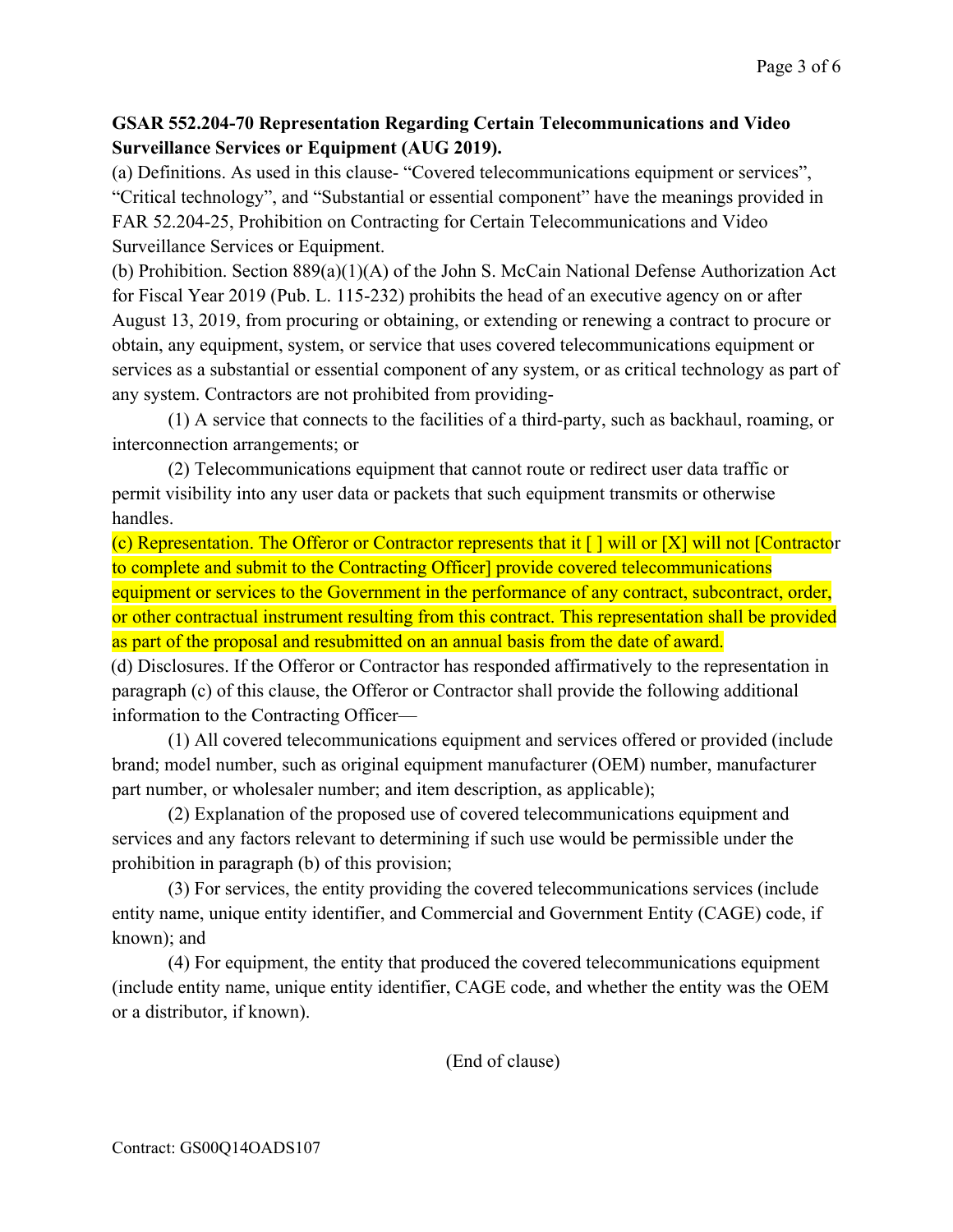## **GSAR 552.204-70 Representation Regarding Certain Telecommunications and Video Surveillance Services or Equipment (AUG 2019).**

(a) Definitions. As used in this clause- "Covered telecommunications equipment or services", "Critical technology", and "Substantial or essential component" have the meanings provided in FAR 52.204-25, Prohibition on Contracting for Certain Telecommunications and Video Surveillance Services or Equipment.

(b) Prohibition. Section 889(a)(1)(A) of the John S. McCain National Defense Authorization Act for Fiscal Year 2019 (Pub. L. 115-232) prohibits the head of an executive agency on or after August 13, 2019, from procuring or obtaining, or extending or renewing a contract to procure or obtain, any equipment, system, or service that uses covered telecommunications equipment or services as a substantial or essential component of any system, or as critical technology as part of any system. Contractors are not prohibited from providing-

(1) A service that connects to the facilities of a third-party, such as backhaul, roaming, or interconnection arrangements; or

(2) Telecommunications equipment that cannot route or redirect user data traffic or permit visibility into any user data or packets that such equipment transmits or otherwise handles.

(c) Representation. The Offeror or Contractor represents that it  $\lceil \cdot \rceil$  will or  $\lceil X \rceil$  will not  $\lceil$ Contractor to complete and submit to the Contracting Officer] provide covered telecommunications equipment or services to the Government in the performance of any contract, subcontract, order, or other contractual instrument resulting from this contract. This representation shall be provided as part of the proposal and resubmitted on an annual basis from the date of award.

(d) Disclosures. If the Offeror or Contractor has responded affirmatively to the representation in paragraph (c) of this clause, the Offeror or Contractor shall provide the following additional information to the Contracting Officer—

(1) All covered telecommunications equipment and services offered or provided (include brand; model number, such as original equipment manufacturer (OEM) number, manufacturer part number, or wholesaler number; and item description, as applicable);

(2) Explanation of the proposed use of covered telecommunications equipment and services and any factors relevant to determining if such use would be permissible under the prohibition in paragraph (b) of this provision;

(3) For services, the entity providing the covered telecommunications services (include entity name, unique entity identifier, and Commercial and Government Entity (CAGE) code, if known); and

(4) For equipment, the entity that produced the covered telecommunications equipment (include entity name, unique entity identifier, CAGE code, and whether the entity was the OEM or a distributor, if known).

(End of clause)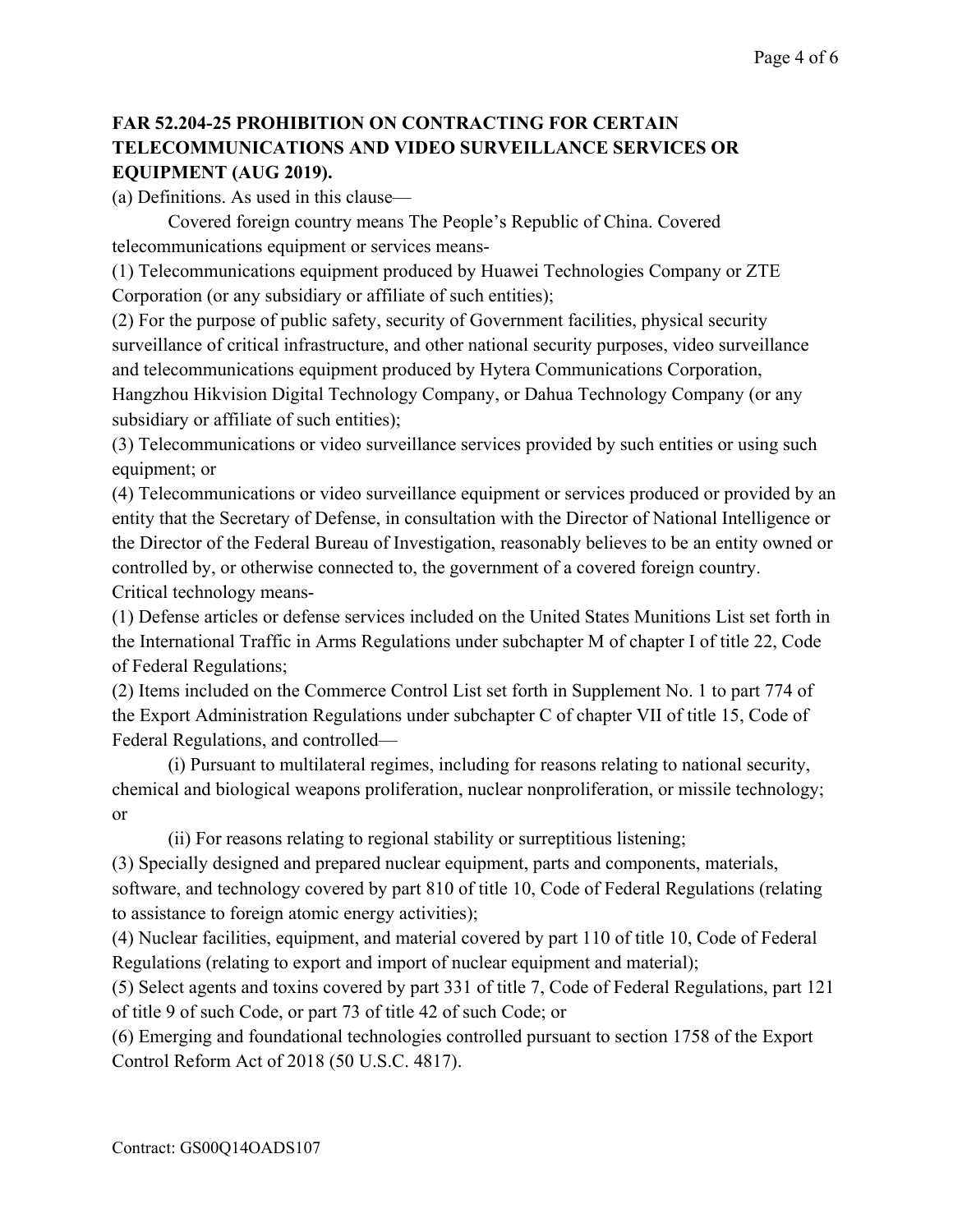## **FAR 52.204-25 PROHIBITION ON CONTRACTING FOR CERTAIN TELECOMMUNICATIONS AND VIDEO SURVEILLANCE SERVICES OR EQUIPMENT (AUG 2019).**

(a) Definitions. As used in this clause—

Covered foreign country means The People's Republic of China. Covered telecommunications equipment or services means-

(1) Telecommunications equipment produced by Huawei Technologies Company or ZTE Corporation (or any subsidiary or affiliate of such entities);

(2) For the purpose of public safety, security of Government facilities, physical security surveillance of critical infrastructure, and other national security purposes, video surveillance and telecommunications equipment produced by Hytera Communications Corporation, Hangzhou Hikvision Digital Technology Company, or Dahua Technology Company (or any subsidiary or affiliate of such entities);

(3) Telecommunications or video surveillance services provided by such entities or using such equipment; or

(4) Telecommunications or video surveillance equipment or services produced or provided by an entity that the Secretary of Defense, in consultation with the Director of National Intelligence or the Director of the Federal Bureau of Investigation, reasonably believes to be an entity owned or controlled by, or otherwise connected to, the government of a covered foreign country. Critical technology means-

(1) Defense articles or defense services included on the United States Munitions List set forth in the International Traffic in Arms Regulations under subchapter M of chapter I of title 22, Code of Federal Regulations;

(2) Items included on the Commerce Control List set forth in Supplement No. 1 to part 774 of the Export Administration Regulations under subchapter C of chapter VII of title 15, Code of Federal Regulations, and controlled—

(i) Pursuant to multilateral regimes, including for reasons relating to national security, chemical and biological weapons proliferation, nuclear nonproliferation, or missile technology; or

(ii) For reasons relating to regional stability or surreptitious listening;

(3) Specially designed and prepared nuclear equipment, parts and components, materials, software, and technology covered by part 810 of title 10, Code of Federal Regulations (relating to assistance to foreign atomic energy activities);

(4) Nuclear facilities, equipment, and material covered by part 110 of title 10, Code of Federal Regulations (relating to export and import of nuclear equipment and material);

(5) Select agents and toxins covered by part 331 of title 7, Code of Federal Regulations, part 121 of title 9 of such Code, or part 73 of title 42 of such Code; or

(6) Emerging and foundational technologies controlled pursuant to section 1758 of the Export Control Reform Act of 2018 (50 U.S.C. 4817).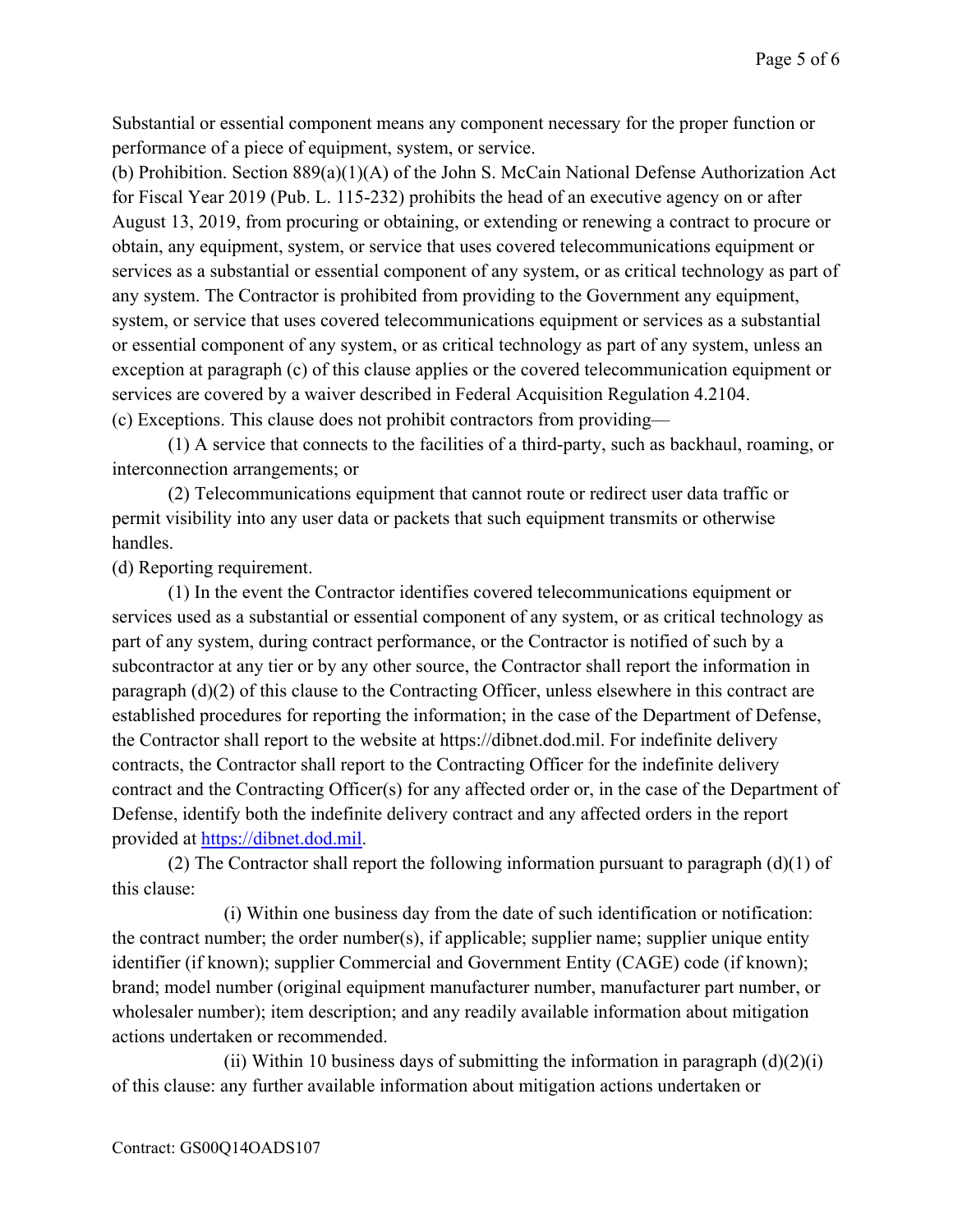Substantial or essential component means any component necessary for the proper function or performance of a piece of equipment, system, or service.

(b) Prohibition. Section 889(a)(1)(A) of the John S. McCain National Defense Authorization Act for Fiscal Year 2019 (Pub. L. 115-232) prohibits the head of an executive agency on or after August 13, 2019, from procuring or obtaining, or extending or renewing a contract to procure or obtain, any equipment, system, or service that uses covered telecommunications equipment or services as a substantial or essential component of any system, or as critical technology as part of any system. The Contractor is prohibited from providing to the Government any equipment, system, or service that uses covered telecommunications equipment or services as a substantial or essential component of any system, or as critical technology as part of any system, unless an exception at paragraph (c) of this clause applies or the covered telecommunication equipment or services are covered by a waiver described in Federal Acquisition Regulation 4.2104. (c) Exceptions. This clause does not prohibit contractors from providing—

(1) A service that connects to the facilities of a third-party, such as backhaul, roaming, or interconnection arrangements; or

(2) Telecommunications equipment that cannot route or redirect user data traffic or permit visibility into any user data or packets that such equipment transmits or otherwise handles.

(d) Reporting requirement.

(1) In the event the Contractor identifies covered telecommunications equipment or services used as a substantial or essential component of any system, or as critical technology as part of any system, during contract performance, or the Contractor is notified of such by a subcontractor at any tier or by any other source, the Contractor shall report the information in paragraph (d)(2) of this clause to the Contracting Officer, unless elsewhere in this contract are established procedures for reporting the information; in the case of the Department of Defense, the Contractor shall report to the website at https://dibnet.dod.mil. For indefinite delivery contracts, the Contractor shall report to the Contracting Officer for the indefinite delivery contract and the Contracting Officer(s) for any affected order or, in the case of the Department of Defense, identify both the indefinite delivery contract and any affected orders in the report provided at [https://dibnet.dod.mil.](https://dibnet.dod.mil/)

(2) The Contractor shall report the following information pursuant to paragraph  $(d)(1)$  of this clause:

(i) Within one business day from the date of such identification or notification: the contract number; the order number(s), if applicable; supplier name; supplier unique entity identifier (if known); supplier Commercial and Government Entity (CAGE) code (if known); brand; model number (original equipment manufacturer number, manufacturer part number, or wholesaler number); item description; and any readily available information about mitigation actions undertaken or recommended.

(ii) Within 10 business days of submitting the information in paragraph  $(d)(2)(i)$ of this clause: any further available information about mitigation actions undertaken or